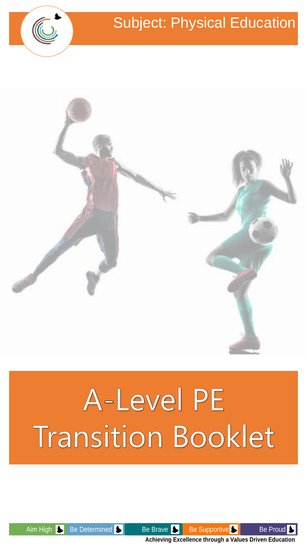



# A-Level PE **Transition Booklet**



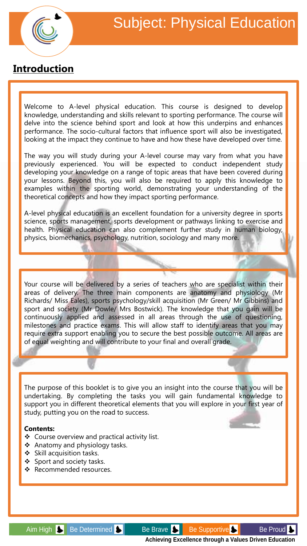

### **Introduction**

Welcome to A-level physical education. This course is designed to develop knowledge, understanding and skills relevant to sporting performance. The course will delve into the science behind sport and look at how this underpins and enhances performance. The socio-cultural factors that influence sport will also be investigated, looking at the impact they continue to have and how these have developed over time.

The way you will study during your A-level course may vary from what you have previously experienced. You will be expected to conduct independent study developing your knowledge on a range of topic areas that have been covered during your lessons. Beyond this, you will also be required to apply this knowledge to examples within the sporting world, demonstrating your understanding of the theoretical concepts and how they impact sporting performance.

A-level physical education is an excellent foundation for a university degree in sports science, sports management, sports development or pathways linking to exercise and health. Physical education can also complement further study in human biology, physics, biomechanics, psychology, nutrition, sociology and many more.

Your course will be delivered by a series of teachers who are specialist within their areas of delivery. The three main components are anatomy and physiology (Mr Richards/ Miss Eales), sports psychology/skill acquisition (Mr Green/ Mr Gibbins) and sport and society (Mr Dowle/ Mrs Bostwick). The knowledge that you gain will be continuously applied and assessed in all areas through the use of questioning, milestones and practice exams. This will allow staff to identify areas that you may require extra support enabling you to secure the best possible outcome. All areas are of equal weighting and will contribute to your final and overall grade.

The purpose of this booklet is to give you an insight into the course that you will be undertaking. By completing the tasks you will gain fundamental knowledge to support you in different theoretical elements that you will explore in your first year of study, putting you on the road to success.

#### **Contents:**

- ❖ Course overview and practical activity list.
- ❖ Anatomy and physiology tasks.
- ❖ Skill acquisition tasks.
- ❖ Sport and society tasks.
- ❖ Recommended resources.

Aim High Se Determined Supportive Be Supportive Be Proud State Be Proud Bell Be Proud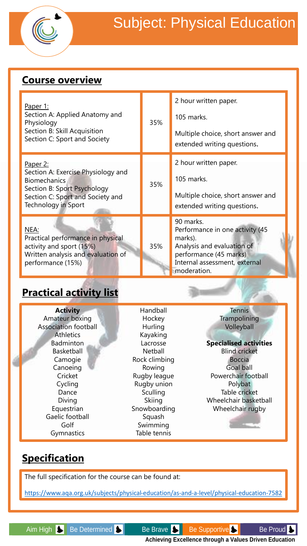

### **Course overview**

| Paper 1:<br>Section A: Applied Anatomy and<br>Physiology<br>Section B: Skill Acquisition<br>Section C: Sport and Society                                        | 35%                                       | 2 hour written paper.<br>105 marks.<br>Multiple choice, short answer and<br>extended writing questions.                                                         |
|-----------------------------------------------------------------------------------------------------------------------------------------------------------------|-------------------------------------------|-----------------------------------------------------------------------------------------------------------------------------------------------------------------|
| Paper 2:<br>Section A: Exercise Physiology and<br><b>Biomechanics</b><br>Section B: Sport Psychology<br>Section C: Sport and Society and<br>Technology in Sport | 35%                                       | 2 hour written paper.<br>105 marks.<br>Multiple choice, short answer and<br>extended writing questions.                                                         |
| NEA:<br>Practical performance in physical<br>activity and sport (15%)<br>Written analysis and evaluation of<br>performance (15%)                                | 35%                                       | 90 marks.<br>Performance in one activity (45<br>marks).<br>Analysis and evaluation of<br>performance (45 marks)<br>Internal assessment, external<br>moderation. |
| <b>Practical activity list</b>                                                                                                                                  |                                           |                                                                                                                                                                 |
| <b>Activity</b><br>Amateur boxing<br><b>Association football</b><br><b>Athletics</b>                                                                            | Handball<br>Hockey<br>Hurling<br>Kayaking | <b>Tennis</b><br>Trampolining<br>Volleyball                                                                                                                     |

#### **Specialised activities** Blind cricket

Boccia Goal ball Powerchair football Polybat Table cricket Wheelchair basketball Wheelchair rugby

## **Specification**

Badminton Basketball Camogie Canoeing **Cricket** Cycling Dance Diving Equestrian Gaelic football Golf Gymnastics

The full specification for the course can be found at:

<https://www.aqa.org.uk/subjects/physical-education/as-and-a-level/physical-education-7582>

Lacrosse Netball Rock climbing Rowing Rugby league Rugby union **Sculling** Skiing Snowboarding Squash Swimming Table tennis

Aim High Se Determined Sensilies Be Brave Sensilies Be Supportive Sensilies Be Proud Sensilies **Achieving Excellence through a Values Driven Education**

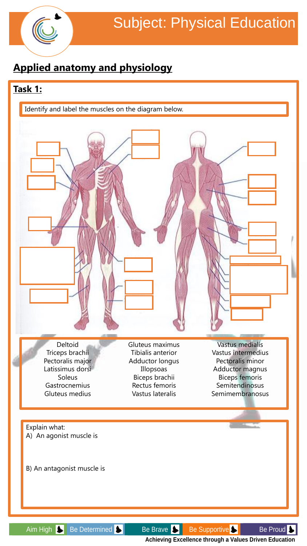

# **Applied anatomy and physiology**

### **Task 1:**





Gluteus maximus Tibialis anterior Adductor longus Illopsoas Biceps brachii Rectus femoris Vastus lateralis

Vastus medialis Vastus intermedius Pectoralis minor Adductor magnus Biceps femoris **Semitendinosus** Semimembranosus

Explain what: A) An agonist muscle is

B) An antagonist muscle is

Aim High Se Determined Sumport Be Brave Bullet Be Supportive Sumport Be Proud Sum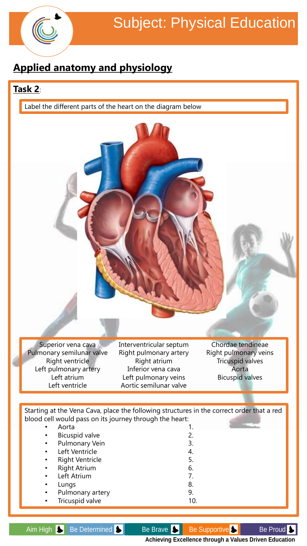

# **Applied anatomy and physiology**

### **Task 2**:

Label the different parts of the heart on the diagram below



blood cell would pass on its journey through the heart:

|           | Aorta                  |                |
|-----------|------------------------|----------------|
| $\bullet$ | Bicuspid valve         | 2.             |
| $\bullet$ | <b>Pulmonary Vein</b>  | 3.             |
| $\bullet$ | Left Ventricle         | 4.             |
| $\bullet$ | <b>Right Ventricle</b> | 5.             |
| $\bullet$ | <b>Right Atrium</b>    | 6.             |
|           | Left Atrium            | 7 <sub>1</sub> |
| ٠         | Lungs                  | 8.             |
| $\bullet$ | Pulmonary artery       | 9.             |
| $\bullet$ | Tricuspid valve        |                |

Aim High Se Determined Sensie Be Brave Sensie Be Supportive Sensie Be Proud Sensie Be Proud **Achieving Excellence through a Values Driven Education**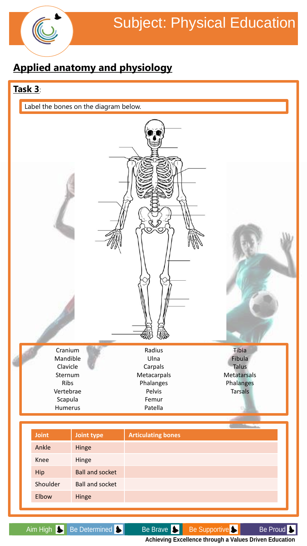

# **Applied anatomy and physiology**

### **Task 3**:

Label the bones on the diagram below.

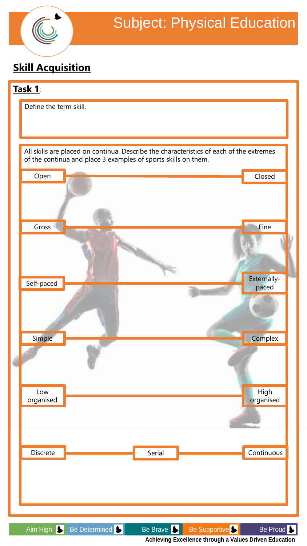

# **Skill Acquisition**

### **Task 1**:



Aim High Se Determined Secure Be Brave Be Supportive Secure Be Proud Security Be Proud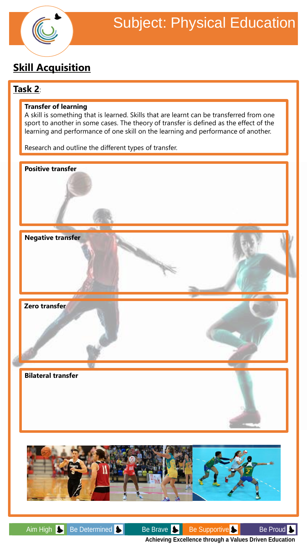

# **Skill Acquisition**

### **Task 2**:

#### **Transfer of learning**

A skill is something that is learned. Skills that are learnt can be transferred from one sport to another in some cases. The theory of transfer is defined as the effect of the learning and performance of one skill on the learning and performance of another.

Research and outline the different types of transfer.



Aim High Sepermined Burn Be Brave Burn Be Supportive Burn Be Proud Burn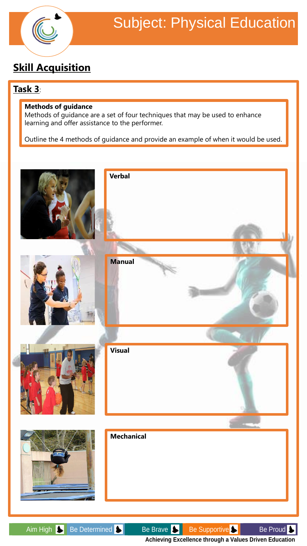

# **Skill Acquisition**

### **Task 3**:

#### **Methods of guidance**

Methods of guidance are a set of four techniques that may be used to enhance learning and offer assistance to the performer.

Outline the 4 methods of guidance and provide an example of when it would be used.

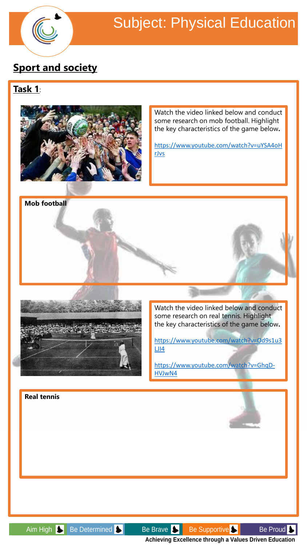

**Mob football**

# Subject: Physical Education

# **Sport and society**

### **Task 1**:



Watch the video linked below and conduct some research on mob football. Highlight the key characteristics of the game below**.**

[https://www.youtube.com/watch?v=uYSA4oH](https://www.youtube.com/watch?v=uYSA4oHrJvs) rJvs



Watch the video linked below and conduct some research on real tennis. Highlight the key characteristics of the game below**.**

[https://www.youtube.com/watch?v=Od9s1u3](https://www.youtube.com/watch?v=Od9s1u3LJI4) LJI4

[https://www.youtube.com/watch?v=GhqD-](https://www.youtube.com/watch?v=GhqD-HVJwN4)HVJwN4

**Real tennis**

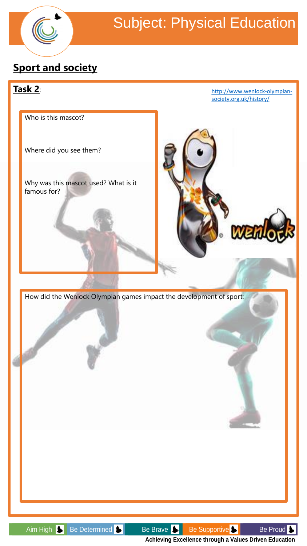

# **Sport and society**

### **Task 2**:

[http://www.wenlock-olympian](http://www.wenlock-olympian-society.org.uk/history/)society.org.uk/history/

Who is this mascot?

Where did you see them?

Why was this mascot used? What is it famous for?



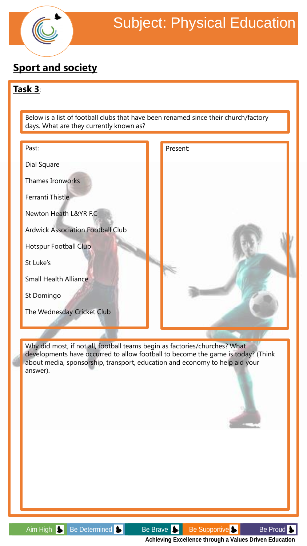

# **Sport and society**

### **Task 3**:

Below is a list of football clubs that have been renamed since their church/factory days. What are they currently known as?



Why did most, if not all, football teams begin as factories/churches? What developments have occurred to allow football to become the game is today? (Think about media, sponsorship, transport, education and economy to help aid your answer).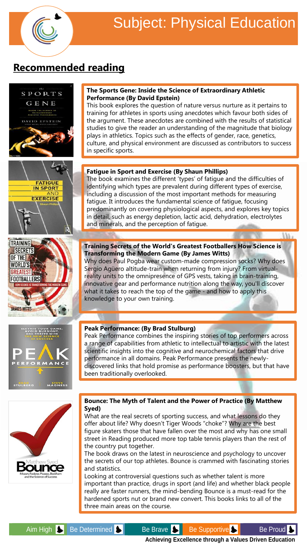

SPORTS

# **Recommended reading**



#### **The Sports Gene: Inside the Science of Extraordinary Athletic Performance (By David Epstein)**

This book explores the question of nature versus nurture as it pertains to training for athletes in sports using anecdotes which favour both sides of the argument. These anecdotes are combined with the results of statistical studies to give the reader an understanding of the magnitude that biology plays in athletics. Topics such as the effects of gender, race, genetics, culture, and physical environment are discussed as contributors to success

#### **Fatigue in Sport and Exercise (By Shaun Phillips)**

The book examines the different 'types' of fatigue and the difficulties of identifying which types are prevalent during different types of exercise, including a discussion of the most important methods for measuring fatigue. It introduces the fundamental science of fatigue, focusing predominantly on covering physiological aspects, and explores key topics in detail, such as energy depletion, lactic acid, dehydration, electrolytes

LV

#### **Training Secrets of the World's Greatest Footballers How Science is Transforming the Modern Game (By James Witts)**

Why does Paul Pogba wear custom-made compression socks? Why does Sergio Agüero altitude-train when returning from injury? From virtualreality units to the omnipresence of GPS vests, taking in brain-training, innovative gear and performance nutrition along the way, you'll discover what it takes to reach the top of the game - and how to apply this

Peak Performance combines the inspiring stories of top performers across a range of capabilities from athletic to intellectual to artistic with the latest scientific insights into the cognitive and neurochemical factors that drive performance in all domains. Peak Performance presents the newlydiscovered links that hold promise as performance boosters, but that have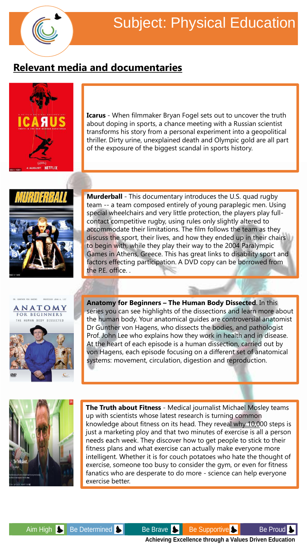

# **Relevant media and documentaries**



**Icarus** - When filmmaker Bryan Fogel sets out to uncover the truth about doping in sports, a chance meeting with a Russian scientist transforms his story from a personal experiment into a geopolitical thriller. Dirty urine, unexplained death and Olympic gold are all part of the exposure of the biggest scandal in sports history.



**Murderball** - This documentary introduces the U.S. quad rugby team -- a team composed entirely of young paraplegic men. Using special wheelchairs and very little protection, the players play fullcontact competitive rugby, using rules only slightly altered to accommodate their limitations. The film follows the team as they discuss the sport, their lives, and how they ended up in their chairs to begin with, while they play their way to the 2004 Paralympic Games in Athens, Greece. This has great links to disability sport and factors effecting participation. A DVD copy can be borrowed from the P.E. office. .



**Anatomy for Beginners – The Human Body Dissected**. In this series you can see highlights of the dissections and learn more about the human body. Your anatomical guides are controversial anatomist Dr Gunther von Hagens, who dissects the bodies, and pathologist Prof. John Lee who explains how they work in health and in disease. At the heart of each episode is a human dissection, carried out by von Hagens, each episode focusing on a different set of anatomical systems: movement, circulation, digestion and reproduction.



**The Truth about Fitness** - Medical journalist Michael Mosley teams up with scientists whose latest research is turning common knowledge about fitness on its head. They reveal why 10,000 steps is just a marketing ploy and that two minutes of exercise is all a person needs each week. They discover how to get people to stick to their fitness plans and what exercise can actually make everyone more intelligent. Whether it is for couch potatoes who hate the thought of exercise, someone too busy to consider the gym, or even for fitness fanatics who are desperate to do more - science can help everyone exercise better.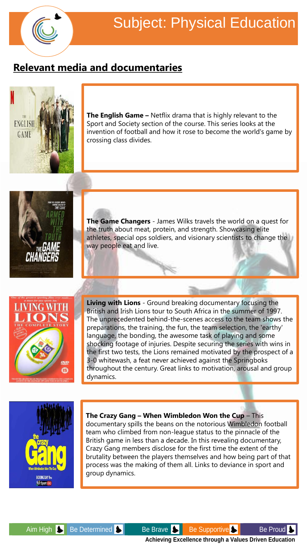

# **Relevant media and documentaries**



the first two tests, the Lions remained motivated by the prospect of a 3-0 whitewash, a feat never achieved against the Springboks throughout the century. Great links to motivation, arousal and group dynamics.



#### **The Crazy Gang – When Wimbledon Won the Cup** – This

documentary spills the beans on the notorious Wimbledon football team who climbed from non-league status to the pinnacle of the British game in less than a decade. In this revealing documentary, Crazy Gang members disclose for the first time the extent of the brutality between the players themselves and how being part of that process was the making of them all. Links to deviance in sport and group dynamics.

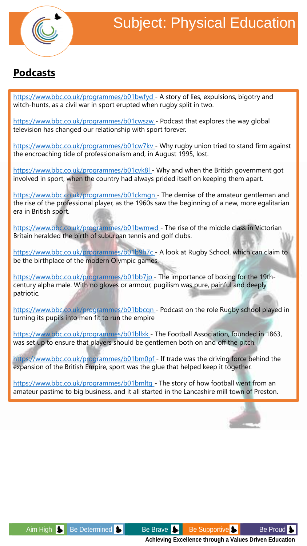

## **Podcasts**

[https://www.bbc.co.uk/programmes/b01bwfyd -](https://www.bbc.co.uk/programmes/b01bwfyd) A story of lies, expulsions, bigotry and witch-hunts, as a civil war in sport erupted when rugby split in two.

[https://www.bbc.co.uk/programmes/b01cwszw -](https://www.bbc.co.uk/programmes/b01cwszw) Podcast that explores the way global television has changed our relationship with sport forever.

[https://www.bbc.co.uk/programmes/b01cw7kv -](https://www.bbc.co.uk/programmes/b01cw7kv) Why rugby union tried to stand firm against the encroaching tide of professionalism and, in August 1995, lost.

[https://www.bbc.co.uk/programmes/b01cvk8l -](https://www.bbc.co.uk/programmes/b01cvk8l) Why and when the British government got involved in sport, when the country had always prided itself on keeping them apart.

<https://www.bbc.co.uk/programmes/b01ckmgn>- The demise of the amateur gentleman and the rise of the professional player, as the 1960s saw the beginning of a new, more egalitarian era in British sport.

<https://www.bbc.co.uk/programmes/b01bwmwd>- The rise of the middle class in Victorian Britain heralded the birth of suburban tennis and golf clubs.

[https://www.bbc.co.uk/programmes/b01b9h7c -](https://www.bbc.co.uk/programmes/b01b9h7c) A look at Rugby School, which can claim to be the birthplace of the modern Olympic games.

[https://www.bbc.co.uk/programmes/b01bb7jp -](https://www.bbc.co.uk/programmes/b01bb7jp) The importance of boxing for the 19thcentury alpha male. With no gloves or armour, pugilism was pure, painful and deeply patriotic.

[https://www.bbc.co.uk/programmes/b01bbcqn -](https://www.bbc.co.uk/programmes/b01bbcqn) Podcast on the role Rugby school played in turning its pupils into men fit to run the empire

[https://www.bbc.co.uk/programmes/b01bllxk -](https://www.bbc.co.uk/programmes/b01bllxk) The Football Association, founded in 1863, was set up to ensure that players should be gentlemen both on and off the pitch.

[https://www.bbc.co.uk/programmes/b01bm0pf -](https://www.bbc.co.uk/programmes/b01bm0pf) If trade was the driving force behind the expansion of the British Empire, sport was the glue that helped keep it together.

[https://www.bbc.co.uk/programmes/b01bmltg -](https://www.bbc.co.uk/programmes/b01bmltg) The story of how football went from an amateur pastime to big business, and it all started in the Lancashire mill town of Preston.



Aim High Se Determined Secure Be Brave Be Supportive Secure Be Proud